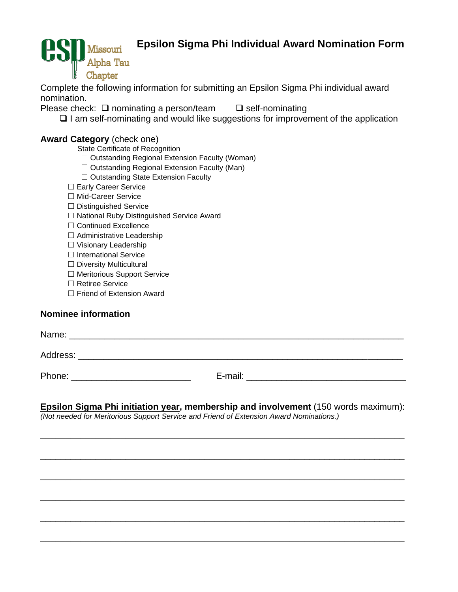# **Epsilon Sigma Phi Individual Award Nomination Form**



Complete the following information for submitting an Epsilon Sigma Phi individual award nomination.

Please check: ❑ nominating a person/team ❑ self-nominating

❑ I am self-nominating and would like suggestions for improvement of the application

## **Award Category** (check one)

State Certificate of Recognition

- ☐ Outstanding Regional Extension Faculty (Woman)
- ☐ Outstanding Regional Extension Faculty (Man)
- ☐ Outstanding State Extension Faculty
- □ Early Career Service
- ☐ Mid-Career Service
- ☐ Distinguished Service
- ☐ National Ruby Distinguished Service Award
- ☐ Continued Excellence
- ☐ Administrative Leadership
- ☐ Visionary Leadership
- □ International Service
- □ Diversity Multicultural
- ☐ Meritorious Support Service
- ☐ Retiree Service
- ☐ Friend of Extension Award

## **Nominee information**

| Name:    |         |
|----------|---------|
| Address: |         |
| Phone:   | E-mail: |

# **Epsilon Sigma Phi initiation year, membership and involvement** (150 words maximum):

\_\_\_\_\_\_\_\_\_\_\_\_\_\_\_\_\_\_\_\_\_\_\_\_\_\_\_\_\_\_\_\_\_\_\_\_\_\_\_\_\_\_\_\_\_\_\_\_\_\_\_\_\_\_\_\_\_\_\_\_\_\_\_\_\_\_\_\_\_\_\_\_\_

\_\_\_\_\_\_\_\_\_\_\_\_\_\_\_\_\_\_\_\_\_\_\_\_\_\_\_\_\_\_\_\_\_\_\_\_\_\_\_\_\_\_\_\_\_\_\_\_\_\_\_\_\_\_\_\_\_\_\_\_\_\_\_\_\_\_\_\_\_\_\_\_\_

\_\_\_\_\_\_\_\_\_\_\_\_\_\_\_\_\_\_\_\_\_\_\_\_\_\_\_\_\_\_\_\_\_\_\_\_\_\_\_\_\_\_\_\_\_\_\_\_\_\_\_\_\_\_\_\_\_\_\_\_\_\_\_\_\_\_\_\_\_\_\_\_\_

\_\_\_\_\_\_\_\_\_\_\_\_\_\_\_\_\_\_\_\_\_\_\_\_\_\_\_\_\_\_\_\_\_\_\_\_\_\_\_\_\_\_\_\_\_\_\_\_\_\_\_\_\_\_\_\_\_\_\_\_\_\_\_\_\_\_\_\_\_\_\_\_\_

\_\_\_\_\_\_\_\_\_\_\_\_\_\_\_\_\_\_\_\_\_\_\_\_\_\_\_\_\_\_\_\_\_\_\_\_\_\_\_\_\_\_\_\_\_\_\_\_\_\_\_\_\_\_\_\_\_\_\_\_\_\_\_\_\_\_\_\_\_\_\_\_\_

\_\_\_\_\_\_\_\_\_\_\_\_\_\_\_\_\_\_\_\_\_\_\_\_\_\_\_\_\_\_\_\_\_\_\_\_\_\_\_\_\_\_\_\_\_\_\_\_\_\_\_\_\_\_\_\_\_\_\_\_\_\_\_\_\_\_\_\_\_\_\_\_\_

*(Not needed for Meritorious Support Service and Friend of Extension Award Nominations.)*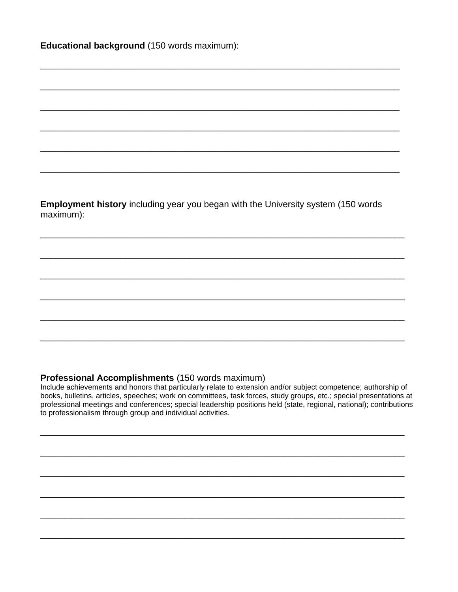Educational background (150 words maximum):

Employment history including year you began with the University system (150 words maximum):

## Professional Accomplishments (150 words maximum)

Include achievements and honors that particularly relate to extension and/or subject competence; authorship of books, bulletins, articles, speeches; work on committees, task forces, study groups, etc.; special presentations at professional meetings and conferences; special leadership positions held (state, regional, national); contributions to professionalism through group and individual activities.